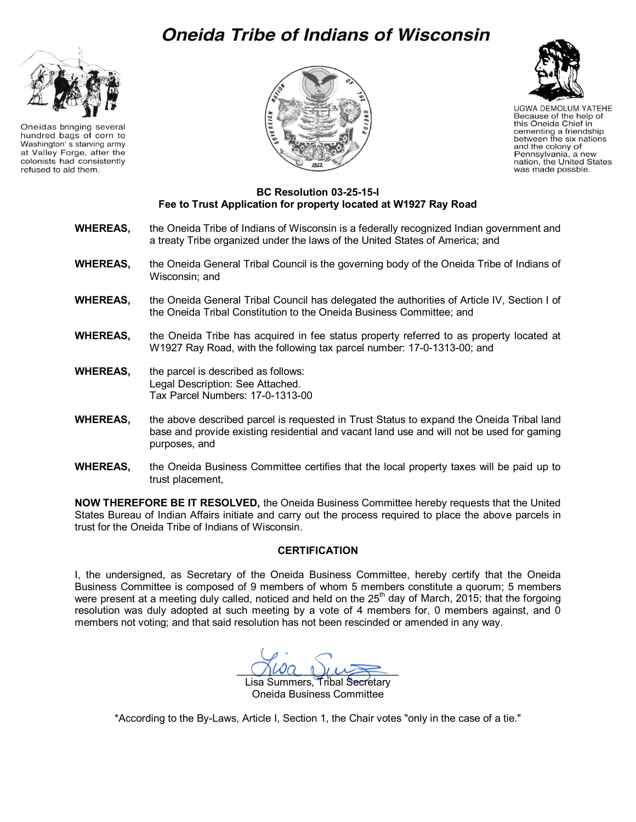## **Oneida Tribe of Indians of Wisconsin**



Oneidas bringing several hundred bags of corn to Washington's starving army at Valley Forge, after the colonists had consistently refused to aid them.





**UGWA DEMOLUM YATEHE** Because of the help of this Oneida Chief in cementing a friendship between the six nations<br>and the colony of Pennsylvania, a new nation, the United States was made possble.

## **BC Resolution 03-25-15-I Fee to Trust Application for property located at W1927 Ray Road**

- **WHEREAS,** the Oneida Tribe of Indians of Wisconsin is a federally recognized Indian government and a treaty Tribe organized under the laws of the United States of America; and
- **WHEREAS,** the Oneida General Tribal Council is the governing body of the Oneida Tribe of Indians of Wisconsin; and
- **WHEREAS,** the Oneida General Tribal Council has delegated the authorities of Article IV, Section I of the Oneida Tribal Constitution to the Oneida Business Committee; and
- **WHEREAS,** the Oneida Tribe has acquired in fee status property referred to as property located at W1927 Ray Road, with the following tax parcel number: 17-0-1313-00; and
- **WHEREAS,** the parcel is described as follows: Legal Description: See Attached. Tax Parcel Numbers: 17-0-1313-00
- **WHEREAS,** the above described parcel is requested in Trust Status to expand the Oneida Tribal land base and provide existing residential and vacant land use and will not be used for gaming purposes, and
- **WHEREAS,** the Oneida Business Committee certifies that the local property taxes will be paid up to trust placement,

**NOW THEREFORE BE IT RESOLVED,** the Oneida Business Committee hereby requests that the United States Bureau of Indian Affairs initiate and carry out the process required to place the above parcels in trust for the Oneida Tribe of Indians of Wisconsin.

## **CERTIFICATION**

I, the undersigned, as Secretary of the Oneida Business Committee, hereby certify that the Oneida Business Committee is composed of 9 members of whom 5 members constitute a quorum; 5 members were present at a meeting duly called, noticed and held on the 25<sup>th</sup> day of March, 2015; that the forgoing resolution was duly adopted at such meeting by a vote of 4 members for, 0 members against, and 0 members not voting; and that said resolution has not been rescinded or amended in any way.

 $\bigcup \omega a \downarrow \mu \rightarrow$ Lisa Summers, Tribal Secretary

Oneida Business Committee

\*According to the By-Laws, Article I, Section 1, the Chair votes "only in the case of a tie."